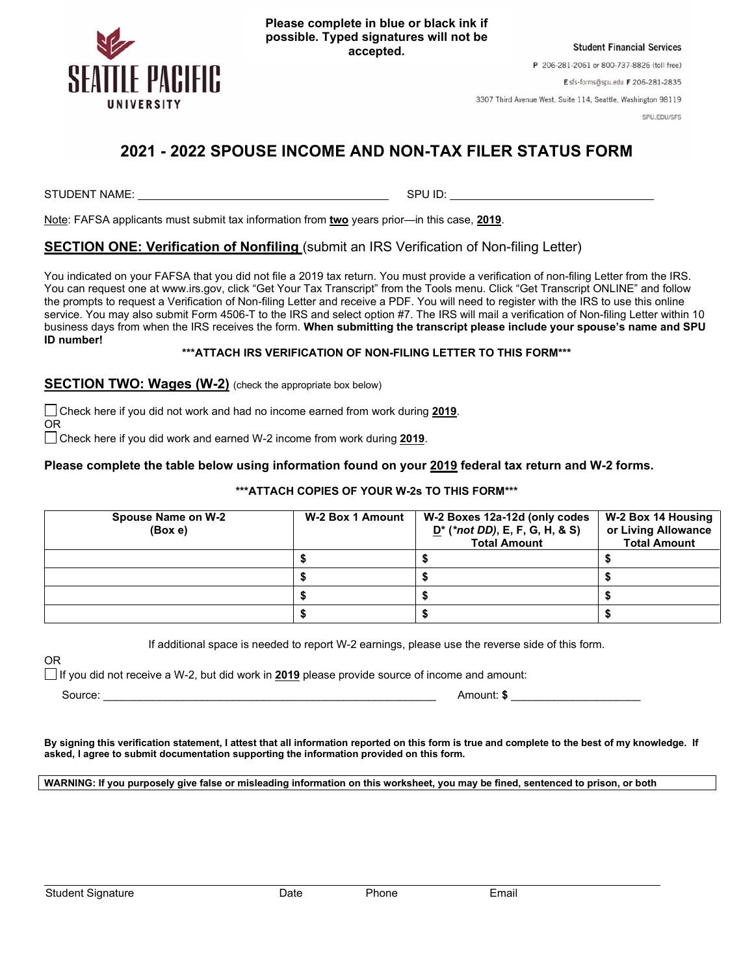

**Please complete in blue or black ink if possible. Typed signatures will not be accepted.**

**Student Financial Services** 

P 206-281-2061 or 800-737-8826 (toll free)

Esfs-forms@spu.edu F 206-281-2835

3307 Third Avenue West, Suite 114, Seattle, Washington 98119

SPU.EDU/SFS

# **2021 - 2022 SPOUSE INCOME AND NON-TAX FILER STATUS FORM**

STUDENT NAME: SPU ID: SPU ID: SPU ID: SPU ID: SPU ID: SPU ID: SPU ID: SPU ID: SPU ID: SPU ID: SPU ID: SPU ID: SPU ID: SPU ID: SPU ID: SPU ID: SPU ID: SPU ID: SPU ID: SPU ID: SPU ID: SPU ID: SPU ID: SPU ID: SPU ID: SPU ID:

OR

Note: FAFSA applicants must submit tax information from **two** years prior—in this case, **2019**.

## **SECTION ONE: Verification of Nonfiling** (submit an IRS Verification of Non-filing Letter)

You indicated on your FAFSA that you did not file a 2019 tax return. You must provide a verification of non-filing Letter from the IRS. You can request one at www.irs.gov, click "Get Your Tax Transcript" from the Tools menu. Click "Get Transcript ONLINE" and follow the prompts to request a Verification of Non-filing Letter and receive a PDF. You will need to register with the IRS to use this online service. You may also submit Form 4506-T to the IRS and select option #7. The IRS will mail a verification of Non-filing Letter within 10 business days from when the IRS receives the form. **When submitting the transcript please include your spouse's name and SPU ID number!**

### **\*\*\*ATTACH IRS VERIFICATION OF NON-FILING LETTER TO THIS FORM\*\*\***

**SECTION TWO: Wages (W-2)** (check the appropriate box below)

Check here if you did not work and had no income earned from work during **2019**.

Check here if you did work and earned W-2 income from work during **2019**.

#### **Please complete the table below using information found on your 2019 federal tax return and W-2 forms.**

#### **\*\*\*ATTACH COPIES OF YOUR W-2s TO THIS FORM\*\*\***

| Spouse Name on W-2<br>(Box e) | W-2 Box 1 Amount | W-2 Boxes 12a-12d (only codes<br>$D^*$ (*not DD), E, F, G, H, & S)<br><b>Total Amount</b> | W-2 Box 14 Housing<br>or Living Allowance<br><b>Total Amount</b> |
|-------------------------------|------------------|-------------------------------------------------------------------------------------------|------------------------------------------------------------------|
|                               |                  |                                                                                           |                                                                  |
|                               |                  |                                                                                           |                                                                  |
|                               |                  |                                                                                           |                                                                  |
|                               |                  |                                                                                           |                                                                  |

If additional space is needed to report W-2 earnings, please use the reverse side of this form.

If you did not receive a W-2, but did work in **2019** please provide source of income and amount:

OR

Source: \_\_\_\_\_\_\_\_\_\_\_\_\_\_\_\_\_\_\_\_\_\_\_\_\_\_\_\_\_\_\_\_\_\_\_\_\_\_\_\_\_\_\_\_\_\_\_\_\_\_\_\_\_\_ Amount: **\$** \_\_\_\_\_\_\_\_\_\_\_\_\_\_\_\_\_\_\_\_\_

**By signing this verification statement, I attest that all information reported on this form is true and complete to the best of my knowledge. If asked, I agree to submit documentation supporting the information provided on this form.**

**WARNING: If you purposely give false or misleading information on this worksheet, you may be fined, sentenced to prison, or both**